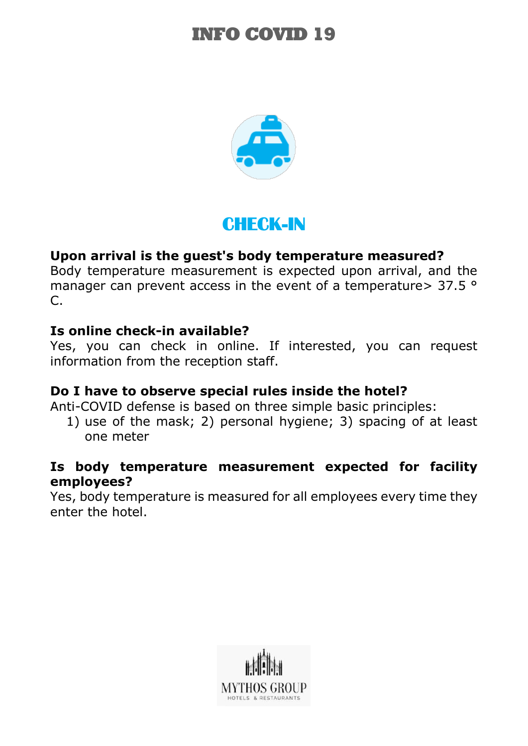

## CHECK-IN

## **Upon arrival is the guest's body temperature measured?**

Body temperature measurement is expected upon arrival, and the manager can prevent access in the event of a temperature > 37.5 ° C.

### **Is online check-in available?**

Yes, you can check in online. If interested, you can request information from the reception staff.

### **Do I have to observe special rules inside the hotel?**

Anti-COVID defense is based on three simple basic principles:

1) use of the mask; 2) personal hygiene; 3) spacing of at least one meter

### **Is body temperature measurement expected for facility employees?**

Yes, body temperature is measured for all employees every time they enter the hotel.

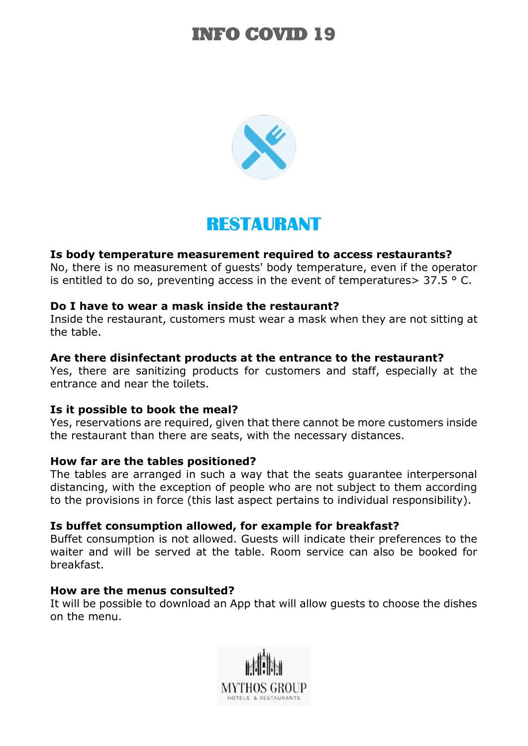

## RESTAURANT

#### **Is body temperature measurement required to access restaurants?**

No, there is no measurement of guests' body temperature, even if the operator is entitled to do so, preventing access in the event of temperatures >  $37.5$  ° C.

#### **Do I have to wear a mask inside the restaurant?**

Inside the restaurant, customers must wear a mask when they are not sitting at the table.

#### **Are there disinfectant products at the entrance to the restaurant?**

Yes, there are sanitizing products for customers and staff, especially at the entrance and near the toilets.

#### **Is it possible to book the meal?**

Yes, reservations are required, given that there cannot be more customers inside the restaurant than there are seats, with the necessary distances.

#### **How far are the tables positioned?**

The tables are arranged in such a way that the seats guarantee interpersonal distancing, with the exception of people who are not subject to them according to the provisions in force (this last aspect pertains to individual responsibility).

#### **Is buffet consumption allowed, for example for breakfast?**

Buffet consumption is not allowed. Guests will indicate their preferences to the waiter and will be served at the table. Room service can also be booked for breakfast.

#### **How are the menus consulted?**

It will be possible to download an App that will allow guests to choose the dishes on the menu.

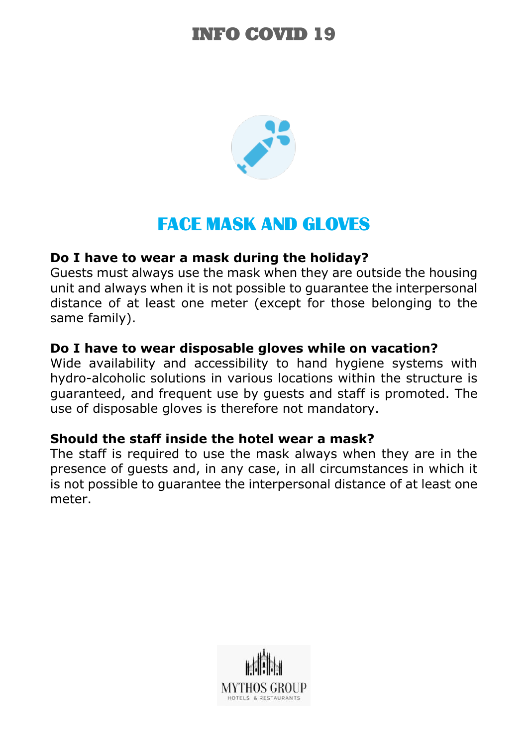

## **FACE MASK AND GLOVES**

### **Do I have to wear a mask during the holiday?**

Guests must always use the mask when they are outside the housing unit and always when it is not possible to guarantee the interpersonal distance of at least one meter (except for those belonging to the same family).

### **Do I have to wear disposable gloves while on vacation?**

Wide availability and accessibility to hand hygiene systems with hydro-alcoholic solutions in various locations within the structure is guaranteed, and frequent use by guests and staff is promoted. The use of disposable gloves is therefore not mandatory.

### **Should the staff inside the hotel wear a mask?**

The staff is required to use the mask always when they are in the presence of guests and, in any case, in all circumstances in which it is not possible to guarantee the interpersonal distance of at least one meter.